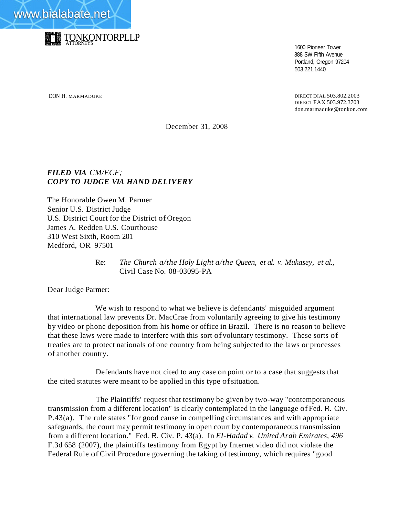



1600 Pioneer Tower 888 SW Fifth Avenue Portland, Oregon 97204 503.221.1440

DON H. MARMADUKE

DIRECT DIAL 503.802.2003 DIRECT FAX 503.972.3703 don.marmaduke@tonkon.com

December 31, 2008

## *FILED VIA CM/ECF; COPY TO JUDGE VIA HAND DELIVERY*

The Honorable Owen M. Parmer Senior U.S. District Judge U.S. District Court for the District ofOregon James A. Redden U.S. Courthouse 310 West Sixth, Room 201 Medford, OR 97501

> Re: *The Church a/the Holy Light a/the Queen, et al. v. Mukasey, et al.,* Civil Case No. 08-03095-PA

Dear Judge Parmer:

We wish to respond to what we believe is defendants' misguided argument that international law prevents Dr. MacCrae from voluntarily agreeing to give his testimony by video or phone deposition from his home or office in Brazil. There is no reason to believe that these laws were made to interfere with this sort of voluntary testimony. These sorts of treaties are to protect nationals of one country from being subjected to the laws or processes of another country.

Defendants have not cited to any case on point or to a case that suggests that the cited statutes were meant to be applied in this type ofsituation.

The Plaintiffs' request that testimony be given by two-way "contemporaneous transmission from a different location" is clearly contemplated in the language of Fed. R. Civ. P.43(a). The rule states "for good cause in compelling circumstances and with appropriate safeguards, the court may permit testimony in open court by contemporaneous transmission from a different location." Fed. R. Civ. P. 43(a). In *EI-Hadad v. United Arab Emirates, 496* F.3d 658 (2007), the plaintiffs testimony from Egypt by Internet video did not violate the Federal Rule ofCivil Procedure governing the taking oftestimony, which requires "good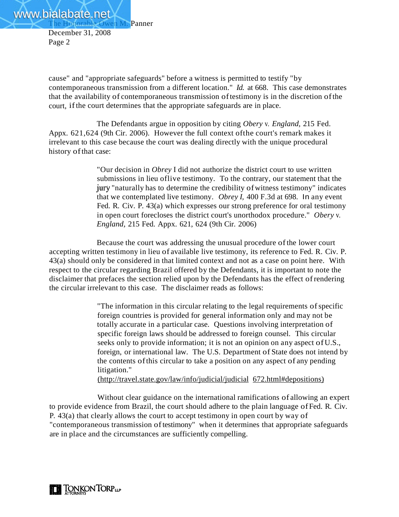December 31, 2008 Page 2

cause" and "appropriate safeguards" before a witness is permitted to testify "by contemporaneous transmission from a different location." *Id.* at 668. This case demonstrates that the availability of contemporaneous transmission oftestimony is in the discretion ofthe court, ifthe court determines that the appropriate safeguards are in place.

The Defendants argue in opposition by citing *Obery* v. *England,* 215 Fed. Appx. 621,624 (9th Cir. 2006). However the full context ofthe court's remark makes it irrelevant to this case because the court was dealing directly with the unique procedural history ofthat case:

> "Our decision in *Obrey* I did not authorize the district court to use written submissions in lieu oflive testimony. To the contrary, our statement that the jury "naturally has to determine the credibility of witness testimony" indicates that we contemplated live testimony. *Obrey I,* 400 F.3d at 698. In any event Fed. R. Civ. P. 43(a) which expresses our strong preference for oral testimony in open court forecloses the district court's unorthodox procedure." *Obery* v. *England,* 215 Fed. Appx. 621, 624 (9th Cir. 2006)

Because the court was addressing the unusual procedure ofthe lower court accepting written testimony in lieu of available live testimony, its reference to Fed. R. Civ. P. 43(a) should only be considered in that limited context and not as a case on point here. With respect to the circular regarding Brazil offered by the Defendants, it is important to note the disclaimer that prefaces the section relied upon by the Defendants has the effect ofrendering the circular irrelevant to this case. The disclaimer reads as follows:

> "The information in this circular relating to the legal requirements of specific foreign countries is provided for general information only and may not be totally accurate in a particular case. Questions involving interpretation of specific foreign laws should be addressed to foreign counsel. This circular seeks only to provide information; it is not an opinion on any aspect ofU.S., foreign, or international law. The U.S. Department of State does not intend by the contents ofthis circular to take a position on any aspect of any pending litigation."

(http://travel.state.gov/law/info/judicial/judicial 672.html#depositions)

Without clear guidance on the international ramifications of allowing an expert to provide evidence from Brazil, the court should adhere to the plain language ofFed. R. Civ. P. 43(a) that clearly allows the court to accept testimony in open court by way of "contemporaneous transmission of testimony" when it determines that appropriate safeguards are in place and the circumstances are sufficiently compelling.